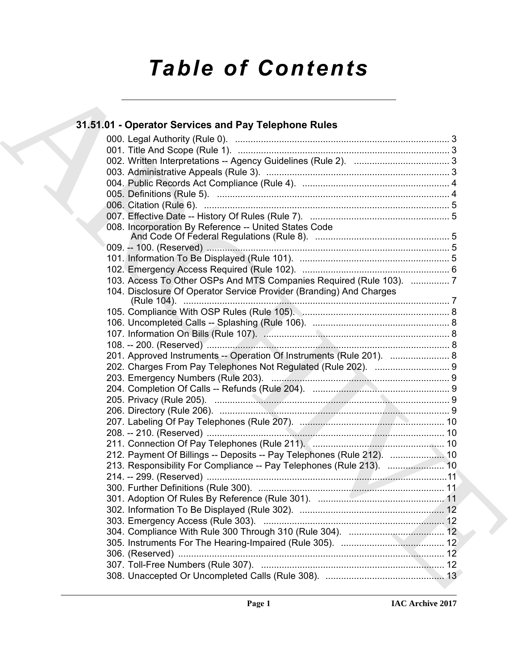# *Table of Contents*

# 31.51.01 - Operator Services and Pay Telephone Rules<br>
(00). Tele [A](#page-2-0)nd Scope (Rule 1),<br>
(00). Tele And Scope (Rule 1),<br>
(00). Tele And Scope (Rule 1),<br>
(00). Tele And Scope (Rule 1),<br>
(00). Tele And Scope (Rule 1),<br>
(00). A **31.51.01 - Operator Services and Pay Telephone Rules** 000. Legal Authority (Rule 0). ................................................................................... 3 001. Title And Scope (Rule 1). .................................................................................. 3 002. Written Interpretations -- Agency Guidelines (Rule 2). ..................................... 3 003. Administrative Appeals (Rule 3). ....................................................................... 3 004. Public Records Act Compliance (Rule 4). ......................................................... 4 005. Definitions (Rule 5). .......................................................................................... 4 006. Citation (Rule 6). ............................................................................................... 5 007. Effective Date -- History Of Rules (Rule 7). ...................................................... 5 008. Incorporation By Reference -- United States Code And Code Of Federal Regulations (Rule 8). .................................................... 5 009. -- 100. (Reserved) .............................................................................................. 5 101. Information To Be Displayed (Rule 101). .......................................................... 5 102. Emergency Access Required (Rule 102). ......................................................... 6 103. Access To Other OSPs And MTS Companies Required (Rule 103). ............... 7 104. Disclosure Of Operator Service Provider (Branding) And Charges (Rule 104). ....................................................................................................... 7 105. Compliance With OSP Rules (Rule 105). ......................................................... 8 106. Uncompleted Calls -- Splashing (Rule 106). ..................................................... 8 107. Information On Bills (Rule 107). ........................................................................ 8 108. -- 200. (Reserved) .............................................................................................. 8 201. Approved Instruments -- Operation Of Instruments (Rule 201). ....................... 8 202. Charges From Pay Telephones Not Regulated (Rule 202). ............................. 9 203. Emergency Numbers (Rule 203). ..................................................................... 9 204. Completion Of Calls -- Refunds (Rule 204). ..................................................... 9 205. Privacy (Rule 205). ........................................................................................... 9 206. Directory (Rule 206). ......................................................................................... 9 207. Labeling Of Pay Telephones (Rule 207). ........................................................ 10 208. -- 210. (Reserved) ............................................................................................ 10 211. Connection Of Pay Telephones (Rule 211). ................................................... 10 212. Payment Of Billings -- Deposits -- Pay Telephones (Rule 212). ..................... 10 213. Responsibility For Compliance -- Pay Telephones (Rule 213). ...................... 10 214. -- 299. (Reserved) .............................................................................................11 300. Further Definitions (Rule 300). ........................................................................ 11 301. Adoption Of Rules By Reference (Rule 301). ................................................. 11 302. Information To Be Displayed (Rule 302). ........................................................ 12 303. Emergency Access (Rule 303). ...................................................................... 12 304. Compliance With Rule 300 Through 310 (Rule 304). ..................................... 12 305. Instruments For The Hearing-Impaired (Rule 305). ........................................ 12 306. (Reserved) ....................................................................................................... 12 307. Toll-Free Numbers (Rule 307). ....................................................................... 12 308. Unaccepted Or Uncompleted Calls (Rule 308). .............................................. 13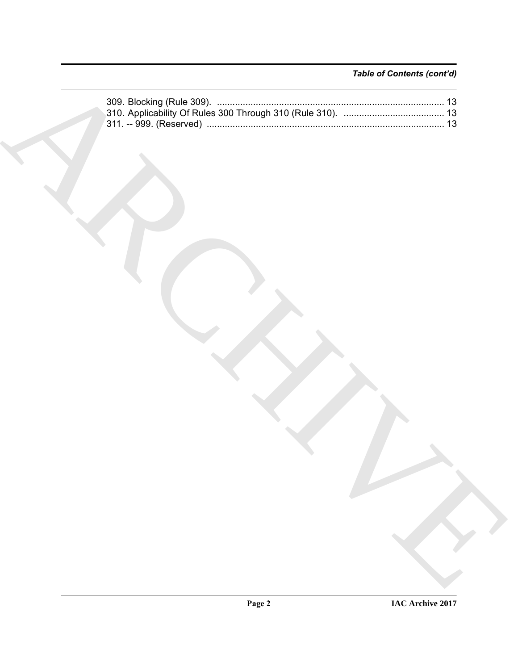# *Table of Contents (cont'd)*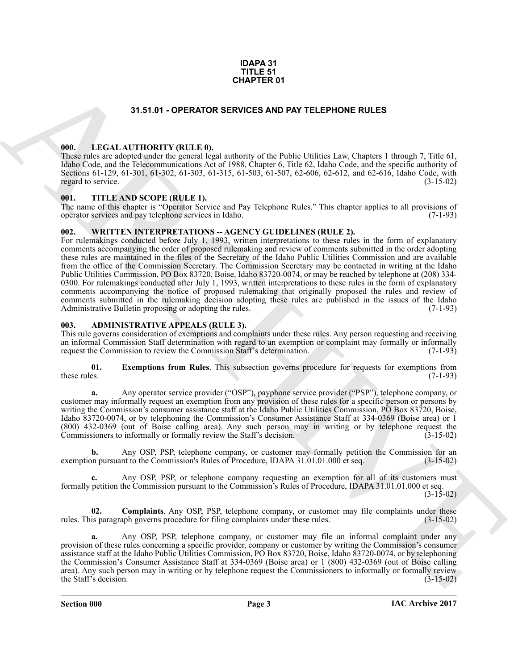#### **IDAPA 31 TITLE 51 CHAPTER 01**

#### **31.51.01 - OPERATOR SERVICES AND PAY TELEPHONE RULES**

#### <span id="page-2-1"></span><span id="page-2-0"></span>**000. LEGAL AUTHORITY (RULE 0).**

These rules are adopted under the general legal authority of the Public Utilities Law, Chapters 1 through 7, Title 61, Idaho Code, and the Telecommunications Act of 1988, Chapter 6, Title 62, Idaho Code, and the specific authority of Sections 61-129, 61-301, 61-302, 61-303, 61-315, 61-503, 61-507, 62-606, 62-612, and 62-616, Idaho Code, with regard to service. (3-15-02) regard to service.

#### <span id="page-2-2"></span>**001. TITLE AND SCOPE (RULE 1).**

The name of this chapter is "Operator Service and Pay Telephone Rules." This chapter applies to all provisions of operator services and pay telephone services in Idaho. (7-1-93) operator services and pay telephone services in Idaho.

#### <span id="page-2-3"></span>**002. WRITTEN INTERPRETATIONS -- AGENCY GUIDELINES (RULE 2).**

**31.51.01** - **OPERATOR SERVICES AND PAY TELEPHONE RULES**<br> **CHARCHIVE CONTINUES (SECULAR DESCRIPTION CONTINUES)**<br> **CHARCHIVE CONTINUES (SECULAR DESCRIPTION CONTINUES)**<br> **CHARCHIVE CONTINUES (SECULAR DESCRIPTION CONTINUES)** For rulemakings conducted before July 1, 1993, written interpretations to these rules in the form of explanatory comments accompanying the order of proposed rulemaking and review of comments submitted in the order adopting these rules are maintained in the files of the Secretary of the Idaho Public Utilities Commission and are available from the office of the Commission Secretary. The Commission Secretary may be contacted in writing at the Idaho Public Utilities Commission, PO Box 83720, Boise, Idaho 83720-0074, or may be reached by telephone at (208) 334- 0300. For rulemakings conducted after July 1, 1993, written interpretations to these rules in the form of explanatory comments accompanying the notice of proposed rulemaking that originally proposed the rules and review of comments submitted in the rulemaking decision adopting these rules are published in the issues of the Idaho Administrative Bulletin proposing or adopting the rules. (7-1-93) Administrative Bulletin proposing or adopting the rules.

#### <span id="page-2-5"></span><span id="page-2-4"></span>**003. ADMINISTRATIVE APPEALS (RULE 3).**

This rule governs consideration of exemptions and complaints under these rules. Any person requesting and receiving an informal Commission Staff determination with regard to an exemption or complaint may formally or informally request the Commission to review the Commission Staff's determination. (7-1-93)

<span id="page-2-7"></span>**01.** Exemptions from Rules. This subsection governs procedure for requests for exemptions from these rules. (7-1-93) these rules. (7-1-93)

**a.** Any operator service provider ("OSP"), payphone service provider ("PSP"), telephone company, or customer may informally request an exemption from any provision of these rules for a specific person or persons by writing the Commission's consumer assistance staff at the Idaho Public Utilities Commission, PO Box 83720, Boise, Idaho 83720-0074, or by telephoning the Commission's Consumer Assistance Staff at 334-0369 (Boise area) or 1 (800) 432-0369 (out of Boise calling area). Any such person may in writing or by telephone request the Commissioners to informally or formally review the Staff's decision.

**b.** Any OSP, PSP, telephone company, or customer may formally petition the Commission for an pursuant to the Commission's Rules of Procedure, IDAPA 31.01.01.000 et seq. (3-15-02) exemption pursuant to the Commission's Rules of Procedure, IDAPA 31.01.01.000 et seq.

**c.** Any OSP, PSP, or telephone company requesting an exemption for all of its customers must formally petition the Commission pursuant to the Commission's Rules of Procedure, IDAPA 31.01.01.000 et seq.

 $(3-15-02)$ 

<span id="page-2-6"></span>**02. Complaints**. Any OSP, PSP, telephone company, or customer may file complaints under these is paragraph governs procedure for filing complaints under these rules. (3-15-02) rules. This paragraph governs procedure for filing complaints under these rules.

**a.** Any OSP, PSP, telephone company, or customer may file an informal complaint under any provision of these rules concerning a specific provider, company or customer by writing the Commission's consumer assistance staff at the Idaho Public Utilities Commission, PO Box 83720, Boise, Idaho 83720-0074, or by telephoning the Commission's Consumer Assistance Staff at 334-0369 (Boise area) or 1 (800) 432-0369 (out of Boise calling area). Any such person may in writing or by telephone request the Commissioners to informally or formally review<br>the Staff's decision. (3-15-02) the Staff's decision.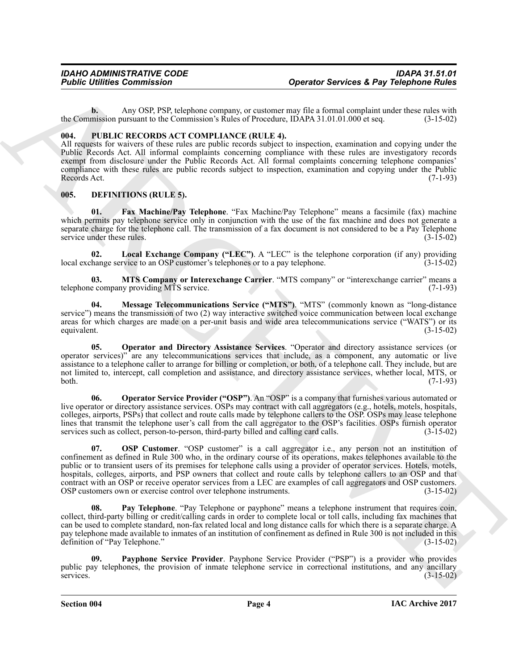**b.** Any OSP, PSP, telephone company, or customer may file a formal complaint under these rules with the Commission pursuant to the Commission's Rules of Procedure, IDAPA 31.01.01.000 et seq. (3-15-02)

#### <span id="page-3-0"></span>**004. PUBLIC RECORDS ACT COMPLIANCE (RULE 4).**

All requests for waivers of these rules are public records subject to inspection, examination and copying under the Public Records Act. All informal complaints concerning compliance with these rules are investigatory records exempt from disclosure under the Public Records Act. All formal complaints concerning telephone companies' compliance with these rules are public records subject to inspection, examination and copying under the Public Records Act. (7-1-93)

#### <span id="page-3-2"></span><span id="page-3-1"></span>**005. DEFINITIONS (RULE 5).**

<span id="page-3-3"></span>**Fax Machine/Pay Telephone.** "Fax Machine/Pay Telephone" means a facsimile (fax) machine which permits pay telephone service only in conjunction with the use of the fax machine and does not generate a separate charge for the telephone call. The transmission of a fax document is not considered to be a Pay Telephone service under these rules. (3-15-02) service under these rules.

<span id="page-3-4"></span>**02.** Local Exchange Company ("LEC"). A "LEC" is the telephone corporation (if any) providing hange service to an OSP customer's telephones or to a pay telephone. (3-15-02) local exchange service to an OSP customer's telephones or to a pay telephone.

<span id="page-3-6"></span>**03. MTS Company or Interexchange Carrier**. "MTS company" or "interexchange carrier" means a e company providing MTS service. (7-1-93) telephone company providing MTS service.

<span id="page-3-5"></span>**04. Message Telecommunications Service ("MTS")**. "MTS" (commonly known as "long-distance service") means the transmission of two (2) way interactive switched voice communication between local exchange areas for which charges are made on a per-unit basis and wide area telecommunications service ("WATS") or its equivalent. (3-15-02) equivalent. (3-15-02)

<span id="page-3-7"></span>**05. Operator and Directory Assistance Services**. "Operator and directory assistance services (or operator services)" are any telecommunications services that include, as a component, any automatic or live assistance to a telephone caller to arrange for billing or completion, or both, of a telephone call. They include, but are not limited to, intercept, call completion and assistance, and directory assistance services, whether local, MTS, or both. (7-1-93)

<span id="page-3-9"></span><span id="page-3-8"></span>**06. Operator Service Provider ("OSP")**. An "OSP" is a company that furnishes various automated or live operator or directory assistance services. OSPs may contract with call aggregators (e.g., hotels, motels, hospitals, colleges, airports, PSPs) that collect and route calls made by telephone callers to the OSP. OSPs may lease telephone lines that transmit the telephone user's call from the call aggregator to the OSP's facilities. OSPs furnish operator services such as collect, person-to-person, third-party billed and calling card calls. (3-15-02) services such as collect, person-to-person, third-party billed and calling card calls.

**Fosine United Schemation Commission Constrained Schemation Commission Commission Commission Commission Commission Commission Commission Commission Commission Commission Commission Commission Commission Commission Commiss 07. OSP Customer**. "OSP customer" is a call aggregator i.e., any person not an institution of confinement as defined in Rule 300 who, in the ordinary course of its operations, makes telephones available to the public or to transient users of its premises for telephone calls using a provider of operator services. Hotels, motels, hospitals, colleges, airports, and PSP owners that collect and route calls by telephone callers to an OSP and that contract with an OSP or receive operator services from a LEC are examples of call aggregators and OSP customers.<br>OSP customers own or exercise control over telephone instruments. (3-15-02) OSP customers own or exercise control over telephone instruments.

<span id="page-3-10"></span>**08. Pay Telephone**. "Pay Telephone or payphone" means a telephone instrument that requires coin, collect, third-party billing or credit/calling cards in order to complete local or toll calls, including fax machines that can be used to complete standard, non-fax related local and long distance calls for which there is a separate charge. A pay telephone made available to inmates of an institution of confinement as defined in Rule 300 is not included in this definition of "Pay Telephone." (3-15-02) definition of "Pay Telephone."

<span id="page-3-11"></span>**09. Payphone Service Provider**. Payphone Service Provider ("PSP") is a provider who provides public pay telephones, the provision of inmate telephone service in correctional institutions, and any ancillary services. (3-15-02) services.  $(3-15-02)$ 

**Section 004 Page 4**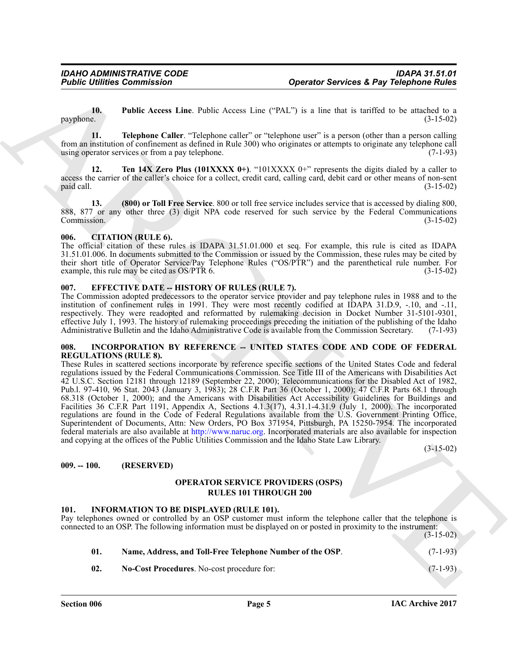<span id="page-4-5"></span>**10. Public Access Line**. Public Access Line ("PAL") is a line that is tariffed to be attached to a (3-15-02)  $p$ ayphone.  $(3-15-02)$ 

<span id="page-4-6"></span>**11. Telephone Caller**. "Telephone caller" or "telephone user" is a person (other than a person calling from an institution of confinement as defined in Rule 300) who originates or attempts to originate any telephone call using operator services or from a pay telephone.

<span id="page-4-7"></span>**12. Ten 14X Zero Plus (101XXXX 0+).** "101XXXX 0+" represents the digits dialed by a caller to access the carrier of the caller's choice for a collect, credit card, calling card, debit card or other means of non-sent paid call. (3-15-02) paid call. (3-15-02)

<span id="page-4-8"></span>**13. (800) or Toll Free Service**. 800 or toll free service includes service that is accessed by dialing 800, 888, 877 or any other three (3) digit NPA code reserved for such service by the Federal Communications Commission. (3-15-02)

#### <span id="page-4-0"></span>**006. CITATION (RULE 6).**

The official citation of these rules is IDAPA 31.51.01.000 et seq. For example, this rule is cited as IDAPA 31.51.01.006. In documents submitted to the Commission or issued by the Commission, these rules may be cited by their short title of Operator Service/Pay Telephone Rules ("OS/PTR") and the parenthetical rule number. For example, this rule may be cited as OS/PTR 6. (3-15-02)

#### <span id="page-4-1"></span>**007. EFFECTIVE DATE -- HISTORY OF RULES (RULE 7).**

The Commission adopted predecessors to the operator service provider and pay telephone rules in 1988 and to the institution of confinement rules in 1991. They were most recently codified at IDAPA 31.D.9, -.10, and -.11, respectively. They were readopted and reformatted by rulemaking decision in Docket Number 31-5101-9301, effective July 1, 1993. The history of rulemaking proceedings preceding the initiation of the publishing of the Idaho Administrative Bulletin and the Idaho Administrative Code is available from the Commission Secretary. (7-1-93)

#### <span id="page-4-2"></span>**008. INCORPORATION BY REFERENCE -- UNITED STATES CODE AND CODE OF FEDERAL REGULATIONS (RULE 8).**

**Foshie Uniters Commission • Control of the system of CNUs and the system is a matrix to example the system of the system of the system of the system of the system of the system of the system of the system of the system o** These Rules in scattered sections incorporate by reference specific sections of the United States Code and federal regulations issued by the Federal Communications Commission. See Title III of the Americans with Disabilities Act 42 U.S.C. Section 12181 through 12189 (September 22, 2000); Telecommunications for the Disabled Act of 1982, Pub.l. 97-410, 96 Stat. 2043 (January 3, 1983); 28 C.F.R Part 36 (October 1, 2000); 47 C.F.R Parts 68.1 through 68.318 (October 1, 2000); and the Americans with Disabilities Act Accessibility Guidelines for Buildings and Facilities 36 C.F.R Part 1191, Appendix A, Sections 4.1.3(17), 4.31.1-4.31.9 (July 1, 2000). The incorporated regulations are found in the Code of Federal Regulations available from the U.S. Government Printing Office, Superintendent of Documents, Attn: New Orders, PO Box 371954, Pittsburgh, PA 15250-7954. The incorporated federal materials are also available at http://www.naruc.org. Incorporated materials are also available for inspection and copying at the offices of the Public Utilities Commission and the Idaho State Law Library.

(3-15-02)

#### <span id="page-4-3"></span>**009. -- 100. (RESERVED)**

#### **OPERATOR SERVICE PROVIDERS (OSPS) RULES 101 THROUGH 200**

#### <span id="page-4-9"></span><span id="page-4-4"></span>**101. INFORMATION TO BE DISPLAYED (RULE 101).**

Pay telephones owned or controlled by an OSP customer must inform the telephone caller that the telephone is connected to an OSP. The following information must be displayed on or posted in proximity to the instrument:

<span id="page-4-11"></span><span id="page-4-10"></span>

| Name, Address, and Toll-Free Telephone Number of the OSP.<br>01. |                                                   | $(7-1-93)$ |
|------------------------------------------------------------------|---------------------------------------------------|------------|
| -02.                                                             | <b>No-Cost Procedures.</b> No-cost procedure for: | $(7-1-93)$ |

 $(3-15-02)$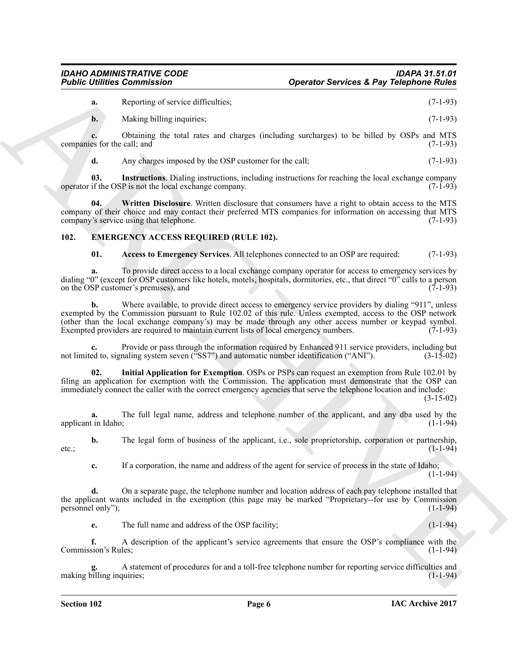#### *IDAHO ADMINISTRATIVE CODE IDAPA 31.51.01 <u>Operator Services & Pay Telephone Rules</u>*

**a.** Reporting of service difficulties; (7-1-93)

**b.** Making billing inquiries; (7-1-93)

**c.** Obtaining the total rates and charges (including surcharges) to be billed by OSPs and MTS companies for the call; and (7-1-93)

<span id="page-5-5"></span><span id="page-5-4"></span>**d.** Any charges imposed by the OSP customer for the call; (7-1-93)

**03.** Instructions. Dialing instructions, including instructions for reaching the local exchange company if the OSP is not the local exchange company. (7-1-93) operator if the OSP is not the local exchange company.

**04. Written Disclosure**. Written disclosure that consumers have a right to obtain access to the MTS company of their choice and may contact their preferred MTS companies for information on accessing that MTS company's service using that telephone. (7-1-93)

#### <span id="page-5-0"></span>**102. EMERGENCY ACCESS REQUIRED (RULE 102).**

<span id="page-5-2"></span><span id="page-5-1"></span>**01. Access to Emergency Services**. All telephones connected to an OSP are required: (7-1-93)

**a.** To provide direct access to a local exchange company operator for access to emergency services by dialing "0" (except for OSP customers like hotels, motels, hospitals, dormitories, etc., that direct "0" calls to a person on the OSP customer's premises), and  $(7-1-93)$ on the OSP customer's premises), and

**Figure Commission Computer (Exercise S. Psy Telephone Building (2003)**<br>
A Reported Vaccous differenties:<br>
A Reported Vaccous differenties:<br>
A Reported Vaccous different to the search of the search of the search of the se **b.** Where available, to provide direct access to emergency service providers by dialing "911", unless exempted by the Commission pursuant to Rule 102.02 of this rule. Unless exempted, access to the OSP network (other than the local exchange company's) may be made through any other access number or keypad symbol. Exempted providers are required to maintain current lists of local emergency numbers.

Provide or pass through the information required by Enhanced 911 service providers, including but naling system seven ("SS7") and automatic number identification ("ANI"). (3-15-02) not limited to, signaling system seven ("SS7") and automatic number identification ("ANI").

<span id="page-5-3"></span>**02. Initial Application for Exemption**. OSPs or PSPs can request an exemption from Rule 102.01 by filing an application for exemption with the Commission. The application must demonstrate that the OSP can immediately connect the caller with the correct emergency agencies that serve the telephone location and include:

(3-15-02)

**a.** The full legal name, address and telephone number of the applicant, and any dba used by the tin Idaho: (1-1-94) applicant in Idaho;

**b.** The legal form of business of the applicant, i.e., sole proprietorship, corporation or partnership,  $(1-1-94)$ etc.;  $(1-1-94)$ 

**c.** If a corporation, the name and address of the agent for service of process in the state of Idaho;  $(1-1-94)$ 

**d.** On a separate page, the telephone number and location address of each pay telephone installed that the applicant wants included in the exemption (this page may be marked "Proprietary--for use by Commission personnel only"); (1-1-94) personnel only");

**e.** The full name and address of the OSP facility; (1-1-94)

**f.** A description of the applicant's service agreements that ensure the OSP's compliance with the sion's Rules: (1-1-94) Commission's Rules;

**g.** A statement of procedures for and a toll-free telephone number for reporting service difficulties and making billing inquiries;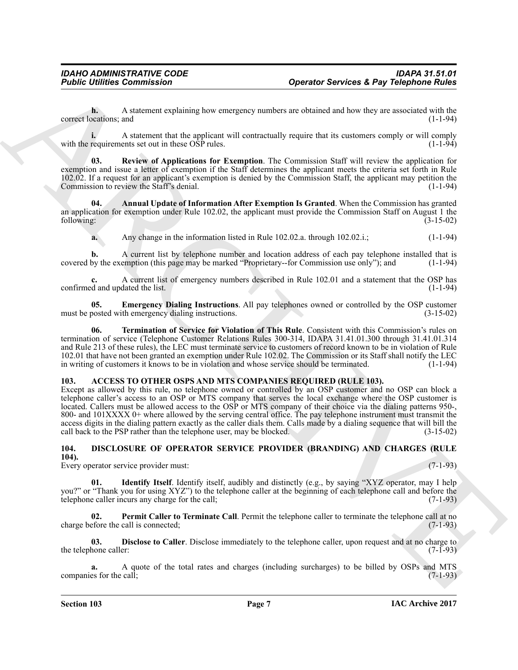**h.** A statement explaining how emergency numbers are obtained and how they are associated with the ocations; and (1-1-94) correct locations; and

**i.** A statement that the applicant will contractually require that its customers comply or will comply requirements set out in these OSP rules. (1-1-94) with the requirements set out in these OSP rules.

<span id="page-6-9"></span>**03. Review of Applications for Exemption**. The Commission Staff will review the application for exemption and issue a letter of exemption if the Staff determines the applicant meets the criteria set forth in Rule 102.02. If a request for an applicant's exemption is denied by the Commission Staff, the applicant may petition the Commission to review the Staff's denial. (1-1-94)

**04. Annual Update of Information After Exemption Is Granted**. When the Commission has granted an application for exemption under Rule 102.02, the applicant must provide the Commission Staff on August 1 the following: (3-15-02)

<span id="page-6-7"></span>**a.** Any change in the information listed in Rule 102.02.a. through 102.02.i.; (1-1-94)

A current list by telephone number and location address of each pay telephone installed that is emption (this page may be marked "Proprietary--for Commission use only"); and (1-1-94) covered by the exemption (this page may be marked "Proprietary--for Commission use only"); and

**c.** A current list of emergency numbers described in Rule 102.01 and a statement that the OSP has d and updated the list. (1-1-94) confirmed and updated the list.

<span id="page-6-8"></span>**05. Emergency Dialing Instructions**. All pay telephones owned or controlled by the OSP customer posted with emergency dialing instructions. must be posted with emergency dialing instructions.

<span id="page-6-10"></span>**06. Termination of Service for Violation of This Rule**. Consistent with this Commission's rules on termination of service (Telephone Customer Relations Rules 300-314, IDAPA 31.41.01.300 through 31.41.01.314 and Rule 213 of these rules), the LEC must terminate service to customers of record known to be in violation of Rule 102.01 that have not been granted an exemption under Rule 102.02. The Commission or its Staff shall notify the LEC<br>in writing of customers it knows to be in violation and whose service should be terminated. (1-1-94) in writing of customers it knows to be in violation and whose service should be terminated.

#### <span id="page-6-2"></span><span id="page-6-0"></span>**103. ACCESS TO OTHER OSPS AND MTS COMPANIES REQUIRED (RULE 103).**

**Figure 1.** Another spiritually be strongently matter as obtained and to sell particles at Pay Telephone Roules Counter and the spiritual services at Pay Telephone Roules Counter and the spiritual service of the spiritual Except as allowed by this rule, no telephone owned or controlled by an OSP customer and no OSP can block a telephone caller's access to an OSP or MTS company that serves the local exchange where the OSP customer is located. Callers must be allowed access to the OSP or MTS company of their choice via the dialing patterns 950-, 800- and  $101XXXX +$  where allowed by the serving central office. The pay telephone instrument must transmit the access digits in the dialing pattern exactly as the caller dials them. Calls made by a dialing sequence that will bill the call back to the PSP rather than the telephone user, may be blocked. (3-15-02) call back to the PSP rather than the telephone user, may be blocked.

# <span id="page-6-3"></span><span id="page-6-1"></span>**104. DISCLOSURE OF OPERATOR SERVICE PROVIDER (BRANDING) AND CHARGES (RULE**

**104).** Every operator service provider must: (7-1-93)

<span id="page-6-5"></span>**01. Identify Itself**. Identify itself, audibly and distinctly (e.g., by saying "XYZ operator, may I help you?" or "Thank you for using XYZ") to the telephone caller at the beginning of each telephone call and before the telephone caller incurs any charge for the call; (7-1-93)

<span id="page-6-6"></span>**02.** Permit Caller to Terminate Call. Permit the telephone caller to terminate the telephone call at no efore the call is connected; (7-1-93) charge before the call is connected;

<span id="page-6-4"></span>**03. Disclose to Caller**. Disclose immediately to the telephone caller, upon request and at no charge to the caller: (7-1-93) the telephone caller:

**a.** A quote of the total rates and charges (including surcharges) to be billed by OSPs and MTS companies for the call;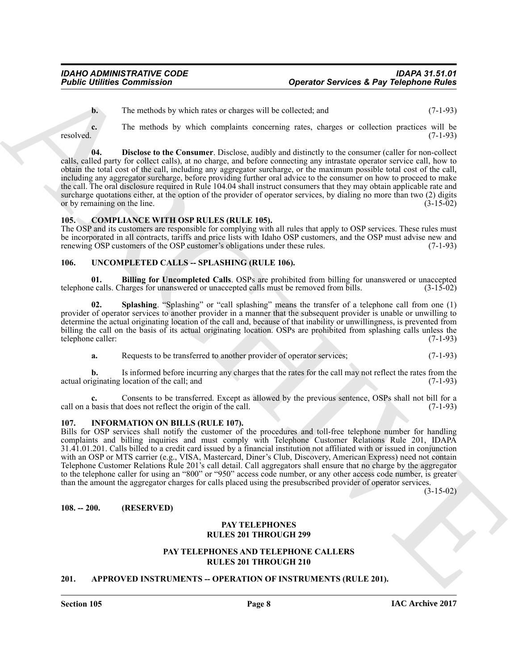<span id="page-7-7"></span>**b.** The methods by which rates or charges will be collected; and  $(7-1-93)$ 

**c.** The methods by which complaints concerning rates, charges or collection practices will be resolved. (7-1-93)

**Foshie United Commission • Contained Commission • Operator Services 4. Psy Telephone Ruise<br>
1. The matches by which and services on the collection and<br>
1. The matches which commission energy with the electron scale of th 04. Disclose to the Consumer**. Disclose, audibly and distinctly to the consumer (caller for non-collect calls, called party for collect calls), at no charge, and before connecting any intrastate operator service call, how to obtain the total cost of the call, including any aggregator surcharge, or the maximum possible total cost of the call, including any aggregator surcharge, before providing further oral advice to the consumer on how to proceed to make the call. The oral disclosure required in Rule 104.04 shall instruct consumers that they may obtain applicable rate and surcharge quotations either, at the option of the provider of operator services, by dialing no more than two (2) digits or by remaining on the line. or by remaining on the line.

#### <span id="page-7-6"></span><span id="page-7-0"></span>**105. COMPLIANCE WITH OSP RULES (RULE 105).**

The OSP and its customers are responsible for complying with all rules that apply to OSP services. These rules must be incorporated in all contracts, tariffs and price lists with Idaho OSP customers, and the OSP must advise new and renewing OSP customers of the OSP customer's obligations under these rules. (7-1-93) renewing OSP customers of the OSP customer's obligations under these rules.

#### <span id="page-7-9"></span><span id="page-7-1"></span>106. UNCOMPLETED CALLS -- SPLASHING (RULE 106).

<span id="page-7-10"></span>**01. Billing for Uncompleted Calls**. OSPs are prohibited from billing for unanswered or unaccepted ealls. Charges for unanswered or unaccepted calls must be removed from bills. (3-15-02) telephone calls. Charges for unanswered or unaccepted calls must be removed from bills.

<span id="page-7-11"></span>**02. Splashing**. "Splashing" or "call splashing" means the transfer of a telephone call from one (1) provider of operator services to another provider in a manner that the subsequent provider is unable or unwilling to determine the actual originating location of the call and, because of that inability or unwillingness, is prevented from billing the call on the basis of its actual originating location. OSPs are prohibited from splashing calls unless the telephone caller: (7-1-93) telephone caller:

**a.** Requests to be transferred to another provider of operator services; (7-1-93)

**b.** Is informed before incurring any charges that the rates for the call may not reflect the rates from the actual originating location of the call; and  $(7-1-93)$ 

**c.** Consents to be transferred. Except as allowed by the previous sentence, OSPs shall not bill for a basis that does not reflect the origin of the call. (7-1-93) call on a basis that does not reflect the origin of the call.

#### <span id="page-7-8"></span><span id="page-7-2"></span>**107. INFORMATION ON BILLS (RULE 107).**

Bills for OSP services shall notify the customer of the procedures and toll-free telephone number for handling complaints and billing inquiries and must comply with Telephone Customer Relations Rule 201, IDAPA 31.41.01.201. Calls billed to a credit card issued by a financial institution not affiliated with or issued in conjunction with an OSP or MTS carrier (e.g., VISA, Mastercard, Diner's Club, Discovery, American Express) need not contain Telephone Customer Relations Rule 201's call detail. Call aggregators shall ensure that no charge by the aggregator to the telephone caller for using an "800" or "950" access code number, or any other access code number, is greater than the amount the aggregator charges for calls placed using the presubscribed provider of operator services.

(3-15-02)

<span id="page-7-3"></span>**108. -- 200. (RESERVED)**

#### **PAY TELEPHONES RULES 201 THROUGH 299**

#### **PAY TELEPHONES AND TELEPHONE CALLERS RULES 201 THROUGH 210**

#### <span id="page-7-5"></span><span id="page-7-4"></span>**201. APPROVED INSTRUMENTS -- OPERATION OF INSTRUMENTS (RULE 201).**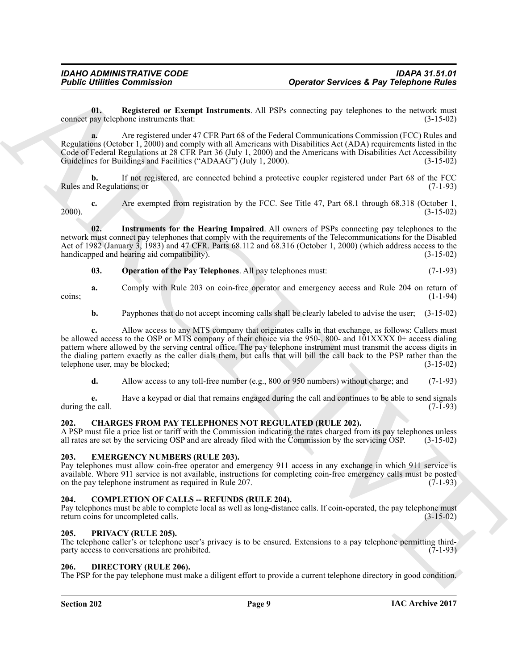<span id="page-8-7"></span>**01.** Registered or Exempt Instruments. All PSPs connecting pay telephones to the network must pay telephone instruments that: (3-15-02) connect pay telephone instruments that:

**a.** Are registered under 47 CFR Part 68 of the Federal Communications Commission (FCC) Rules and Regulations (October 1, 2000) and comply with all Americans with Disabilities Act (ADA) requirements listed in the Code of Federal Regulations at 28 CFR Part 36 (July 1, 2000) and the Americans with Disabilities Act Accessibility Guidelines for Buildings and Facilities ("ADAAG") (July 1, 2000). (3-15-02)

If not registered, are connected behind a protective coupler registered under Part 68 of the FCC tions; or  $(7-1-93)$ Rules and Regulations; or

**c.** Are exempted from registration by the FCC. See Title 47, Part 68.1 through 68.318 (October 1, (3-15-02) 2000). (3-15-02)

**02. Instruments for the Hearing Impaired**. All owners of PSPs connecting pay telephones to the network must connect pay telephones that comply with the requirements of the Telecommunications for the Disabled Act of 1982 (January  $\hat{3}$ , 1983) and 47 CFR. Parts 68.112 and 68.316 (October 1, 2000) (which address access to the handicapped and hearing aid compatibility). (3-15-02)

#### <span id="page-8-6"></span><span id="page-8-5"></span>**03. Operation of the Pay Telephones**. All pay telephones must: (7-1-93)

**a.** Comply with Rule 203 on coin-free operator and emergency access and Rule 204 on return of  $(1-1-94)$  $\frac{1}{1-1-94}$  (1-1-94)

**b.** Payphones that do not accept incoming calls shall be clearly labeled to advise the user; (3-15-02)

**Positive Commission**<br> **Christian Commission**<br>
United Extendion Commission<br>
United Extendion Commission Commission Commission Commission Commission Commission Commission<br>
Commission Commission Commission Commission Commis **c.** Allow access to any MTS company that originates calls in that exchange, as follows: Callers must be allowed access to the OSP or MTS company of their choice via the 950-, 800- and 101XXXX 0+ access dialing pattern where allowed by the serving central office. The pay telephone instrument must transmit the access digits in the dialing pattern exactly as the caller dials them, but calls that will bill the call back to the PSP rather than the telephone user, may be blocked;  $(3-15-02)$ telephone user, may be blocked;

**d.** Allow access to any toll-free number (e.g., 800 or 950 numbers) without charge; and (7-1-93)

**e.** Have a keypad or dial that remains engaged during the call and continues to be able to send signals (7-1-93) during the call.

#### <span id="page-8-8"></span><span id="page-8-0"></span>**202. CHARGES FROM PAY TELEPHONES NOT REGULATED (RULE 202).**

A PSP must file a price list or tariff with the Commission indicating the rates charged from its pay telephones unless all rates are set by the servicing OSP and are already filed with the Commission by the servicing OSP. all rates are set by the servicing OSP and are already filed with the Commission by the servicing OSP.

#### <span id="page-8-11"></span><span id="page-8-1"></span>**203. EMERGENCY NUMBERS (RULE 203).**

Pay telephones must allow coin-free operator and emergency 911 access in any exchange in which 911 service is available. Where 911 service is not available, instructions for completing coin-free emergency calls must be posted on the pay telephone instrument as required in Rule 207.

#### <span id="page-8-9"></span><span id="page-8-2"></span>**204. COMPLETION OF CALLS -- REFUNDS (RULE 204).**

Pay telephones must be able to complete local as well as long-distance calls. If coin-operated, the pay telephone must return coins for uncompleted calls. return coins for uncompleted calls.

#### <span id="page-8-12"></span><span id="page-8-3"></span>**205. PRIVACY (RULE 205).**

The telephone caller's or telephone user's privacy is to be ensured. Extensions to a pay telephone permitting third-<br>party access to conversations are prohibited. (7-1-93) party access to conversations are prohibited.

#### <span id="page-8-10"></span><span id="page-8-4"></span>**206. DIRECTORY (RULE 206).**

The PSP for the pay telephone must make a diligent effort to provide a current telephone directory in good condition.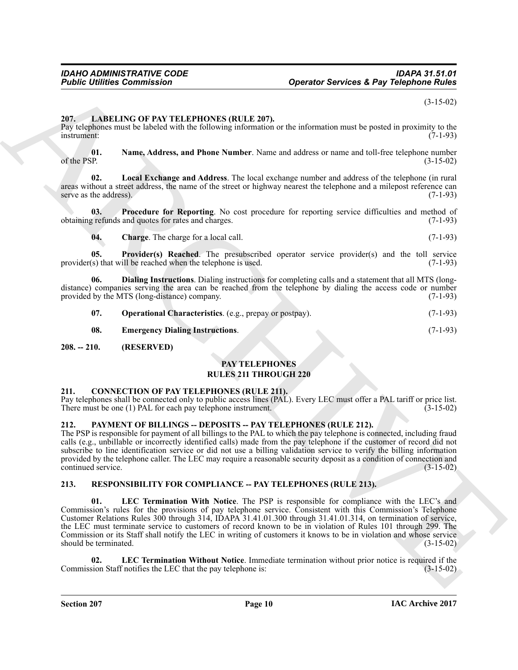(3-15-02)

#### <span id="page-9-6"></span><span id="page-9-0"></span>**207. LABELING OF PAY TELEPHONES (RULE 207).**

Pay telephones must be labeled with the following information or the information must be posted in proximity to the instrument: (7-1-93) instrument: (7-1-93)

<span id="page-9-11"></span>**01. Name, Address, and Phone Number**. Name and address or name and toll-free telephone number of the PSP.  $(3-15-02)$ 

<span id="page-9-10"></span>**02. Local Exchange and Address**. The local exchange number and address of the telephone (in rural areas without a street address, the name of the street or highway nearest the telephone and a milepost reference can serve as the address). (7-1-93) serve as the address).

**03. Procedure for Reporting**. No cost procedure for reporting service difficulties and method of obtaining refunds and quotes for rates and charges. (7-1-93)

<span id="page-9-14"></span><span id="page-9-13"></span><span id="page-9-8"></span><span id="page-9-7"></span>**04.** Charge. The charge for a local call. (7-1-93)

**05. Provider(s) Reached**. The presubscribed operator service provider(s) and the toll service (s) that will be reached when the telephone is used. (7-1-93)  $provider(s)$  that will be reached when the telephone is used.

**06. Dialing Instructions**. Dialing instructions for completing calls and a statement that all MTS (longdistance) companies serving the area can be reached from the telephone by dialing the access code or number provided by the MTS (long-distance) company. (7-1-93) provided by the MTS (long-distance) company.

<span id="page-9-12"></span>

| 07. | <b>Operational Characteristics</b> . (e.g., prepay or postpay). |  | $(7-1-93)$ |
|-----|-----------------------------------------------------------------|--|------------|
|-----|-----------------------------------------------------------------|--|------------|

<span id="page-9-9"></span>**08. Emergency Dialing Instructions**. (7-1-93)

#### <span id="page-9-1"></span>**208. -- 210. (RESERVED)**

### **PAY TELEPHONES RULES 211 THROUGH 220**

#### <span id="page-9-5"></span><span id="page-9-2"></span>**211. CONNECTION OF PAY TELEPHONES (RULE 211).**

Pay telephones shall be connected only to public access lines (PAL). Every LEC must offer a PAL tariff or price list.<br>There must be one (1) PAL for each pay telephone instrument. (3-15-02) There must be one  $(1)$  PAL for each pay telephone instrument.

#### <span id="page-9-15"></span><span id="page-9-3"></span>**212. PAYMENT OF BILLINGS -- DEPOSITS -- PAY TELEPHONES (RULE 212).**

The PSP is responsible for payment of all billings to the PAL to which the pay telephone is connected, including fraud calls (e.g., unbillable or incorrectly identified calls) made from the pay telephone if the customer of record did not subscribe to line identification service or did not use a billing validation service to verify the billing information provided by the telephone caller. The LEC may require a reasonable security deposit as a condition of connection and continued service. (3-15-02) continued service.

#### <span id="page-9-17"></span><span id="page-9-16"></span><span id="page-9-4"></span>**213. RESPONSIBILITY FOR COMPLIANCE -- PAY TELEPHONES (RULE 213).**

ARCHIVE **01. LEC Termination With Notice**. The PSP is responsible for compliance with the LEC's and Commission's rules for the provisions of pay telephone service. Consistent with this Commission's Telephone Customer Relations Rules 300 through 314, IDAPA 31.41.01.300 through 31.41.01.314, on termination of service, the LEC must terminate service to customers of record known to be in violation of Rules 101 through 299. The Commission or its Staff shall notify the LEC in writing of customers it knows to be in violation and whose service should be terminated. (3-15-02) should be terminated.

<span id="page-9-18"></span>**02. LEC Termination Without Notice**. Immediate termination without prior notice is required if the Commission Staff notifies the LEC that the pay telephone is: (3-15-02)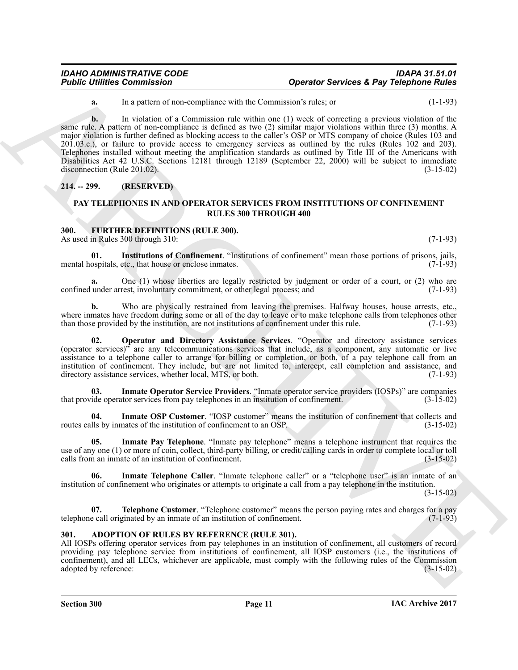**a.** In a pattern of non-compliance with the Commission's rules; or (1-1-93)

**Foshie United Commission**<br>
La pueda de Sacredones de la pueda de Sacredones de la pueda de la contrata de la pueda de la pueda de Sacredones de la pueda de Sacredones de la pueda de Sacredones de la pueda de la contrata **b.** In violation of a Commission rule within one (1) week of correcting a previous violation of the same rule. A pattern of non-compliance is defined as two (2) similar major violations within three (3) months. A major violation is further defined as blocking access to the caller's OSP or MTS company of choice (Rules 103 and 201.03.c.), or failure to provide access to emergency services as outlined by the rules (Rules 102 and 203). Telephones installed without meeting the amplification standards as outlined by Title III of the Americans with Disabilities Act 42 U.S.C. Sections 12181 through 12189 (September 22, 2000) will be subject to immediate disconnection (Rule 201.02). (3-15-02)

#### <span id="page-10-0"></span>**214. -- 299. (RESERVED)**

#### <span id="page-10-4"></span>**PAY TELEPHONES IN AND OPERATOR SERVICES FROM INSTITUTIONS OF CONFINEMENT RULES 300 THROUGH 400**

#### <span id="page-10-1"></span>**300. FURTHER DEFINITIONS (RULE 300).**

<span id="page-10-9"></span>As used in Rules 300 through 310: (7-1-93)

**01.** Institutions of Confinement. "Institutions of confinement" mean those portions of prisons, jails, ospitals, etc., that house or enclose inmates. (7-1-93) mental hospitals, etc., that house or enclose inmates.

**a.** One (1) whose liberties are legally restricted by judgment or order of a court, or (2) who are confined under arrest, involuntary commitment, or other legal process; and (7-1-93)

**b.** Who are physically restrained from leaving the premises. Halfway houses, house arrests, etc., where inmates have freedom during some or all of the day to leave or to make telephone calls from telephones other<br>than those provided by the institution, are not institutions of confinement under this rule. (7-1-93) than those provided by the institution, are not institutions of confinement under this rule.

<span id="page-10-10"></span>**02. Operator and Directory Assistance Services**. "Operator and directory assistance services (operator services)" are any telecommunications services that include, as a component, any automatic or live assistance to a telephone caller to arrange for billing or completion, or both, of a pay telephone call from an institution of confinement. They include, but are not limited to, intercept, call completion and assistance, and directory assistance services, whether local, MTS, or both. (7-1-93)

<span id="page-10-5"></span>**03.** Inmate Operator Service Providers. "Inmate operator service providers (IOSPs)" are companies ide operator services from pay telephones in an institution of confinement. (3-15-02) that provide operator services from pay telephones in an institution of confinement.

<span id="page-10-6"></span>**04.** Inmate OSP Customer. "IOSP customer" means the institution of confinement that collects and IIs by inmates of the institution of confinement to an OSP. (3-15-02) routes calls by inmates of the institution of confinement to an OSP.

<span id="page-10-7"></span>**05. Inmate Pay Telephone**. "Inmate pay telephone" means a telephone instrument that requires the use of any one (1) or more of coin, collect, third-party billing, or credit/calling cards in order to complete local or toll calls from an inmate of an institution of confinement. (3-15-02) calls from an inmate of an institution of confinement.

<span id="page-10-8"></span>**Inmate Telephone Caller**. "Inmate telephone caller" or a "telephone user" is an inmate of an institution of confinement who originates or attempts to originate a call from a pay telephone in the institution.

(3-15-02)

<span id="page-10-11"></span>**07. Telephone Customer**. "Telephone customer" means the person paying rates and charges for a pay e call originated by an inmate of an institution of confinement. telephone call originated by an inmate of an institution of confinement.

#### <span id="page-10-3"></span><span id="page-10-2"></span>**301. ADOPTION OF RULES BY REFERENCE (RULE 301).**

All IOSPs offering operator services from pay telephones in an institution of confinement, all customers of record providing pay telephone service from institutions of confinement, all IOSP customers (i.e., the institutions of confinement), and all LECs, whichever are applicable, must comply with the following rules of the Commission adopted by reference: (3-15-02)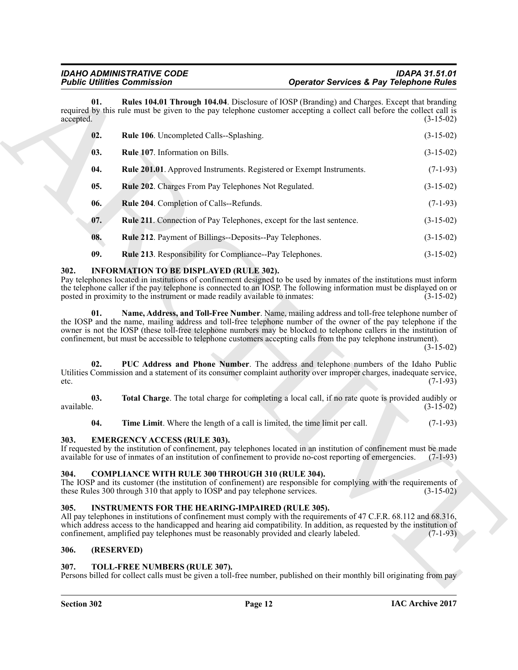|                   | <b>Public Utilities Commission</b>                                                                                                                                                                                                                                                                                                                                                                                                                     | <b>Operator Services &amp; Pay Telephone Rules</b> |             |
|-------------------|--------------------------------------------------------------------------------------------------------------------------------------------------------------------------------------------------------------------------------------------------------------------------------------------------------------------------------------------------------------------------------------------------------------------------------------------------------|----------------------------------------------------|-------------|
| 01.<br>accepted.  | Rules 104.01 Through 104.04. Disclosure of IOSP (Branding) and Charges. Except that branding<br>required by this rule must be given to the pay telephone customer accepting a collect call before the collect call is                                                                                                                                                                                                                                  |                                                    | $(3-15-02)$ |
| 02.               | Rule 106. Uncompleted Calls--Splashing.                                                                                                                                                                                                                                                                                                                                                                                                                |                                                    | $(3-15-02)$ |
| 03.               | Rule 107. Information on Bills.                                                                                                                                                                                                                                                                                                                                                                                                                        |                                                    | $(3-15-02)$ |
| 04.               | Rule 201.01. Approved Instruments. Registered or Exempt Instruments.                                                                                                                                                                                                                                                                                                                                                                                   |                                                    | $(7-1-93)$  |
| 05.               | Rule 202. Charges From Pay Telephones Not Regulated.                                                                                                                                                                                                                                                                                                                                                                                                   |                                                    | $(3-15-02)$ |
| 06.               | Rule 204. Completion of Calls--Refunds.                                                                                                                                                                                                                                                                                                                                                                                                                |                                                    | $(7-1-93)$  |
| 07.               | <b>Rule 211.</b> Connection of Pay Telephones, except for the last sentence.                                                                                                                                                                                                                                                                                                                                                                           |                                                    | $(3-15-02)$ |
| 08.               | Rule 212. Payment of Billings--Deposits--Pay Telephones.                                                                                                                                                                                                                                                                                                                                                                                               |                                                    | $(3-15-02)$ |
| 09.               | Rule 213. Responsibility for Compliance--Pay Telephones.                                                                                                                                                                                                                                                                                                                                                                                               |                                                    | $(3-15-02)$ |
| 302.              | <b>INFORMATION TO BE DISPLAYED (RULE 302).</b><br>Pay telephones located in institutions of confinement designed to be used by inmates of the institutions must inform<br>the telephone caller if the pay telephone is connected to an IOSP. The following information must be displayed on or<br>posted in proximity to the instrument or made readily available to inmates:                                                                          |                                                    | $(3-15-02)$ |
| 01.               | Name, Address, and Toll-Free Number. Name, mailing address and toll-free telephone number of<br>the IOSP and the name, mailing address and toll-free telephone number of the owner of the pay telephone if the<br>owner is not the IOSP (these toll-free telephone numbers may be blocked to telephone callers in the institution of<br>confinement, but must be accessible to telephone customers accepting calls from the pay telephone instrument). |                                                    | $(3-15-02)$ |
| 02.<br>etc.       | PUC Address and Phone Number. The address and telephone numbers of the Idaho Public<br>Utilities Commission and a statement of its consumer complaint authority over improper charges, inadequate service,                                                                                                                                                                                                                                             |                                                    | $(7-1-93)$  |
| 03.<br>available. | Total Charge. The total charge for completing a local call, if no rate quote is provided audibly or                                                                                                                                                                                                                                                                                                                                                    |                                                    | $(3-15-02)$ |
| 04.               | Time Limit. Where the length of a call is limited, the time limit per call.                                                                                                                                                                                                                                                                                                                                                                            |                                                    | $(7-1-93)$  |
| 303.              | <b>EMERGENCY ACCESS (RULE 303).</b><br>If requested by the institution of confinement, pay telephones located in an institution of confinement must be made<br>available for use of inmates of an institution of confinement to provide no-cost reporting of emergencies. (7-1-93)                                                                                                                                                                     |                                                    |             |
| 304.              | <b>COMPLIANCE WITH RULE 300 THROUGH 310 (RULE 304).</b><br>The IOSP and its customer (the institution of confinement) are responsible for complying with the requirements of<br>these Rules 300 through 310 that apply to IOSP and pay telephone services.                                                                                                                                                                                             |                                                    | $(3-15-02)$ |
| 305.              | <b>INSTRUMENTS FOR THE HEARING-IMPAIRED (RULE 305).</b><br>All pay telephones in institutions of confinement must comply with the requirements of 47 C.F.R. 68.112 and 68.316,<br>which address access to the handicapped and hearing aid compatibility. In addition, as requested by the institution of<br>confinement, amplified pay telephones must be reasonably provided and clearly labeled.                                                     |                                                    | $(7-1-93)$  |
| 306.              | (RESERVED)                                                                                                                                                                                                                                                                                                                                                                                                                                             |                                                    |             |
|                   |                                                                                                                                                                                                                                                                                                                                                                                                                                                        |                                                    |             |

#### <span id="page-11-9"></span><span id="page-11-8"></span><span id="page-11-0"></span>**302. INFORMATION TO BE DISPLAYED (RULE 302).**

#### <span id="page-11-12"></span><span id="page-11-11"></span><span id="page-11-10"></span><span id="page-11-7"></span><span id="page-11-1"></span>**303. EMERGENCY ACCESS (RULE 303).**

#### <span id="page-11-6"></span><span id="page-11-2"></span>**304. COMPLIANCE WITH RULE 300 THROUGH 310 (RULE 304).**

#### <span id="page-11-13"></span><span id="page-11-3"></span>**305. INSTRUMENTS FOR THE HEARING-IMPAIRED (RULE 305).**

#### <span id="page-11-4"></span>**306. (RESERVED)**

#### <span id="page-11-14"></span><span id="page-11-5"></span>**307. TOLL-FREE NUMBERS (RULE 307).**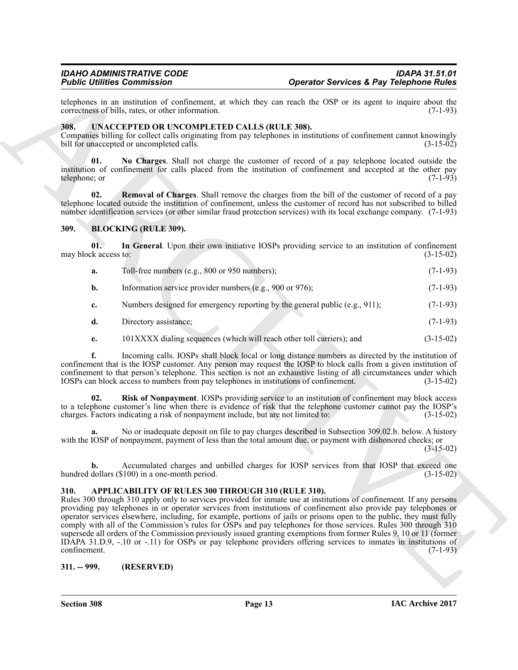telephones in an institution of confinement, at which they can reach the OSP or its agent to inquire about the correctness of bills, rates, or other information. (7-1-93) correctness of bills, rates, or other information.

#### <span id="page-12-8"></span><span id="page-12-0"></span>**308. UNACCEPTED OR UNCOMPLETED CALLS (RULE 308).**

Companies billing for collect calls originating from pay telephones in institutions of confinement cannot knowingly bill for unaccepted or uncompleted calls. (3-15-02) bill for unaccepted or uncompleted calls.

<span id="page-12-9"></span>**01. No Charges**. Shall not charge the customer of record of a pay telephone located outside the institution of confinement for calls placed from the institution of confinement and accepted at the other pay telephone; or (7-1-93)

<span id="page-12-10"></span>**02. Removal of Charges**. Shall remove the charges from the bill of the customer of record of a pay telephone located outside the institution of confinement, unless the customer of record has not subscribed to billed number identification services (or other similar fraud protection services) with its local exchange company. (7-1-93)

#### <span id="page-12-5"></span><span id="page-12-1"></span>**309. BLOCKING (RULE 309).**

**01. In General**. Upon their own initiative IOSPs providing service to an institution of confinement may block access to:  $(3-15-02)$ 

- <span id="page-12-6"></span>**a.** Toll-free numbers (e.g., 800 or 950 numbers); (7-1-93)
- **b.** Information service provider numbers  $(e.g., 900 \text{ or } 976)$ ;  $(7-1-93)$
- **c.** Numbers designed for emergency reporting by the general public (e.g., 911); (7-1-93)
- **d.** Directory assistance; (7-1-93)
- <span id="page-12-7"></span>**e.** 101XXXX dialing sequences (which will reach other toll carriers); and (3-15-02)

**f.** Incoming calls. IOSPs shall block local or long distance numbers as directed by the institution of confinement that is the IOSP customer. Any person may request the IOSP to block calls from a given institution of confinement to that person's telephone. This section is not an exhaustive listing of all circumstances under which IOSPs can block access to numbers from pay telephones in institutions of confinement. (3-15-02)

**02. Risk of Nonpayment**. IOSPs providing service to an institution of confinement may block access to a telephone customer's line when there is evidence of risk that the telephone customer cannot pay the IOSP's charges. Factors indicating a risk of nonpayment include, but are not limited to:  $(3-15-02)$ charges. Factors indicating a risk of nonpayment include, but are not limited to:

**a.** No or inadequate deposit on file to pay charges described in Subsection 309.02.b. below. A history with the IOSP of nonpayment, payment of less than the total amount due, or payment with dishonored checks; or

(3-15-02)

**b.** Accumulated charges and unbilled charges for IOSP services from that IOSP that exceed one dollars (\$100) in a one-month period. (3-15-02) hundred dollars  $(\$100)$  in a one-month period.

#### <span id="page-12-4"></span><span id="page-12-2"></span>**310. APPLICABILITY OF RULES 300 THROUGH 310 (RULE 310).**

For the continue of continue and the state of the state of Soviet S. Psy Telephone Rivies<br>
activities of the continue of the state of the state of the state of the state of the state of the state of the state of the state Rules 300 through 310 apply only to services provided for inmate use at institutions of confinement. If any persons providing pay telephones in or operator services from institutions of confinement also provide pay telephones or operator services elsewhere, including, for example, portions of jails or prisons open to the public, they must fully comply with all of the Commission's rules for OSPs and pay telephones for those services. Rules 300 through 310 supersede all orders of the Commission previously issued granting exemptions from former Rules 9, 10 or 11 (former IDAPA 31.D.9, -.10 or -.11) for OSPs or pay telephone providers offering services to inmates in institutions of confinement. (7-1-93) confinement. (7-1-93)

<span id="page-12-3"></span>**311. -- 999. (RESERVED)**